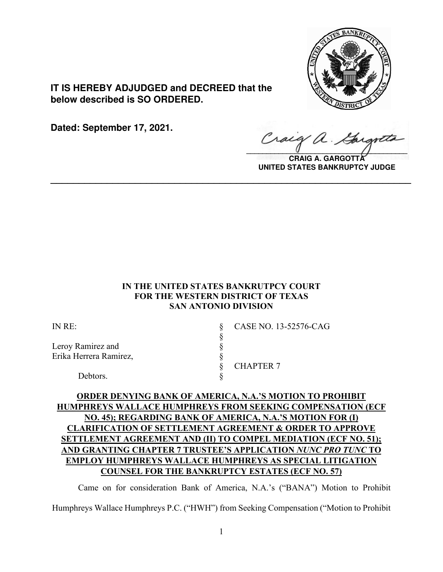

**IT IS HEREBY ADJUDGED and DECREED that the below described is SO ORDERED.**

**Dated: September 17, 2021.**

 $\sqrt{2}$ 

**CRAIG A. GARGOTTA UNITED STATES BANKRUPTCY JUDGE**

## **IN THE UNITED STATES BANKRUTPCY COURT FOR THE WESTERN DISTRICT OF TEXAS SAN ANTONIO DIVISION**

**\_\_\_\_\_\_\_\_\_\_\_\_\_\_\_\_\_\_\_\_\_\_\_\_\_\_\_\_\_\_\_\_\_\_\_\_\_\_\_\_\_\_\_\_\_\_\_\_\_\_\_\_\_\_\_\_\_\_\_\_\_\_\_\_**

| IN RE:                 | CASE NO. 13-52576-CAG |
|------------------------|-----------------------|
|                        |                       |
| Leroy Ramirez and      |                       |
| Erika Herrera Ramirez, |                       |
|                        | <b>CHAPTER 7</b>      |
| Debtors.               |                       |

# **ORDER DENYING BANK OF AMERICA, N.A.'S MOTION TO PROHIBIT HUMPHREYS WALLACE HUMPHREYS FROM SEEKING COMPENSATION (ECF NO. 45); REGARDING BANK OF AMERICA, N.A.'S MOTION FOR (I) CLARIFICATION OF SETTLEMENT AGREEMENT & ORDER TO APPROVE SETTLEMENT AGREEMENT AND (II) TO COMPEL MEDIATION (ECF NO. 51); AND GRANTING CHAPTER 7 TRUSTEE'S APPLICATION** *NUNC PRO TUNC* **TO EMPLOY HUMPHREYS WALLACE HUMPHREYS AS SPECIAL LITIGATION COUNSEL FOR THE BANKRUPTCY ESTATES (ECF NO. 57)**

Came on for consideration Bank of America, N.A.'s ("BANA") Motion to Prohibit Humphreys Wallace Humphreys P.C. ("HWH") from Seeking Compensation ("Motion to Prohibit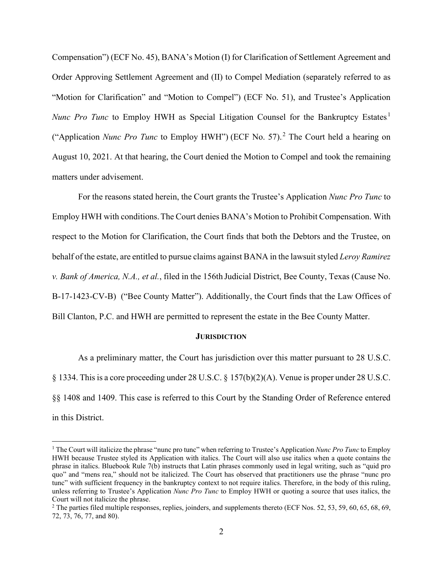Compensation") (ECF No. 45), BANA's Motion (I) for Clarification of Settlement Agreement and Order Approving Settlement Agreement and (II) to Compel Mediation (separately referred to as "Motion for Clarification" and "Motion to Compel") (ECF No. 51), and Trustee's Application *Nunc Pro Tunc* to Employ HWH as Special Litigation Counsel for the Bankruptcy Estates.<sup>1</sup> ("Application *Nunc Pro Tunc* to Employ HWH") (ECF No. 57).<sup>2</sup> The Court held a hearing on August 10, 2021. At that hearing, the Court denied the Motion to Compel and took the remaining matters under advisement.

For the reasons stated herein, the Court grants the Trustee's Application *Nunc Pro Tunc* to Employ HWH with conditions.The Court denies BANA's Motion to Prohibit Compensation. With respect to the Motion for Clarification, the Court finds that both the Debtors and the Trustee, on behalf of the estate, are entitled to pursue claims against BANA in the lawsuit styled *Leroy Ramirez v. Bank of America, N.A., et al.*, filed in the 156th Judicial District, Bee County, Texas (Cause No. B-17-1423-CV-B) ("Bee County Matter"). Additionally, the Court finds that the Law Offices of Bill Clanton, P.C. and HWH are permitted to represent the estate in the Bee County Matter.

#### **JURISDICTION**

As a preliminary matter, the Court has jurisdiction over this matter pursuant to 28 U.S.C. § 1334. This is a core proceeding under 28 U.S.C. § 157(b)(2)(A). Venue is proper under 28 U.S.C. §§ 1408 and 1409. This case is referred to this Court by the Standing Order of Reference entered in this District.

<sup>1</sup> The Court will italicize the phrase "nunc pro tunc" when referring to Trustee's Application *Nunc Pro Tunc* to Employ HWH because Trustee styled its Application with italics. The Court will also use italics when a quote contains the phrase in italics. Bluebook Rule 7(b) instructs that Latin phrases commonly used in legal writing, such as "quid pro quo" and "mens rea," should not be italicized. The Court has observed that practitioners use the phrase "nunc pro tunc" with sufficient frequency in the bankruptcy context to not require italics. Therefore, in the body of this ruling, unless referring to Trustee's Application *Nunc Pro Tunc* to Employ HWH or quoting a source that uses italics, the Court will not italicize the phrase.

<sup>&</sup>lt;sup>2</sup> The parties filed multiple responses, replies, joinders, and supplements thereto (ECF Nos. 52, 53, 59, 60, 65, 68, 69, 72, 73, 76, 77, and 80).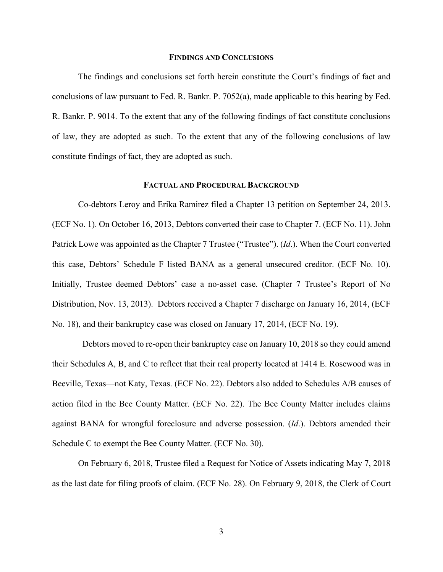#### **FINDINGS AND CONCLUSIONS**

The findings and conclusions set forth herein constitute the Court's findings of fact and conclusions of law pursuant to Fed. R. Bankr. P. 7052(a), made applicable to this hearing by Fed. R. Bankr. P. 9014. To the extent that any of the following findings of fact constitute conclusions of law, they are adopted as such. To the extent that any of the following conclusions of law constitute findings of fact, they are adopted as such.

### **FACTUAL AND PROCEDURAL BACKGROUND**

Co-debtors Leroy and Erika Ramirez filed a Chapter 13 petition on September 24, 2013. (ECF No. 1). On October 16, 2013, Debtors converted their case to Chapter 7. (ECF No. 11). John Patrick Lowe was appointed as the Chapter 7 Trustee ("Trustee"). (*Id*.). When the Court converted this case, Debtors' Schedule F listed BANA as a general unsecured creditor. (ECF No. 10). Initially, Trustee deemed Debtors' case a no-asset case. (Chapter 7 Trustee's Report of No Distribution, Nov. 13, 2013). Debtors received a Chapter 7 discharge on January 16, 2014, (ECF No. 18), and their bankruptcy case was closed on January 17, 2014, (ECF No. 19).

Debtors moved to re-open their bankruptcy case on January 10, 2018 so they could amend their Schedules A, B, and C to reflect that their real property located at 1414 E. Rosewood was in Beeville, Texas—not Katy, Texas. (ECF No. 22). Debtors also added to Schedules A/B causes of action filed in the Bee County Matter. (ECF No. 22). The Bee County Matter includes claims against BANA for wrongful foreclosure and adverse possession. (*Id*.). Debtors amended their Schedule C to exempt the Bee County Matter. (ECF No. 30).

On February 6, 2018, Trustee filed a Request for Notice of Assets indicating May 7, 2018 as the last date for filing proofs of claim. (ECF No. 28). On February 9, 2018, the Clerk of Court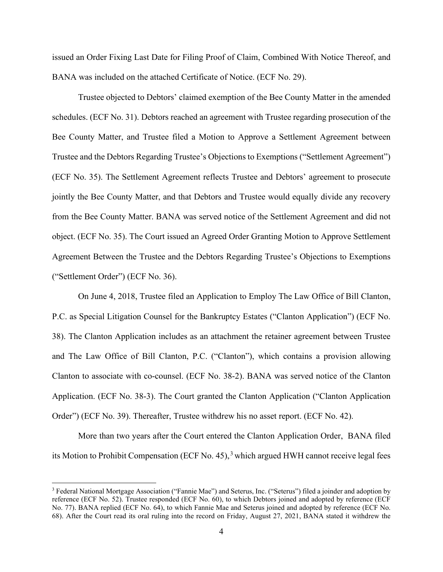issued an Order Fixing Last Date for Filing Proof of Claim, Combined With Notice Thereof, and BANA was included on the attached Certificate of Notice. (ECF No. 29).

Trustee objected to Debtors' claimed exemption of the Bee County Matter in the amended schedules. (ECF No. 31). Debtors reached an agreement with Trustee regarding prosecution of the Bee County Matter, and Trustee filed a Motion to Approve a Settlement Agreement between Trustee and the Debtors Regarding Trustee's Objections to Exemptions ("Settlement Agreement") (ECF No. 35). The Settlement Agreement reflects Trustee and Debtors' agreement to prosecute jointly the Bee County Matter, and that Debtors and Trustee would equally divide any recovery from the Bee County Matter. BANA was served notice of the Settlement Agreement and did not object. (ECF No. 35). The Court issued an Agreed Order Granting Motion to Approve Settlement Agreement Between the Trustee and the Debtors Regarding Trustee's Objections to Exemptions ("Settlement Order") (ECF No. 36).

On June 4, 2018, Trustee filed an Application to Employ The Law Office of Bill Clanton, P.C. as Special Litigation Counsel for the Bankruptcy Estates ("Clanton Application") (ECF No. 38). The Clanton Application includes as an attachment the retainer agreement between Trustee and The Law Office of Bill Clanton, P.C. ("Clanton"), which contains a provision allowing Clanton to associate with co-counsel. (ECF No. 38-2). BANA was served notice of the Clanton Application. (ECF No. 38-3). The Court granted the Clanton Application ("Clanton Application Order") (ECF No. 39). Thereafter, Trustee withdrew his no asset report. (ECF No. 42).

More than two years after the Court entered the Clanton Application Order, BANA filed its Motion to Prohibit Compensation (ECF No. 45),<sup>3</sup> which argued HWH cannot receive legal fees

<sup>&</sup>lt;sup>3</sup> Federal National Mortgage Association ("Fannie Mae") and Seterus, Inc. ("Seterus") filed a joinder and adoption by reference (ECF No. 52). Trustee responded (ECF No. 60), to which Debtors joined and adopted by reference (ECF No. 77). BANA replied (ECF No. 64), to which Fannie Mae and Seterus joined and adopted by reference (ECF No. 68). After the Court read its oral ruling into the record on Friday, August 27, 2021, BANA stated it withdrew the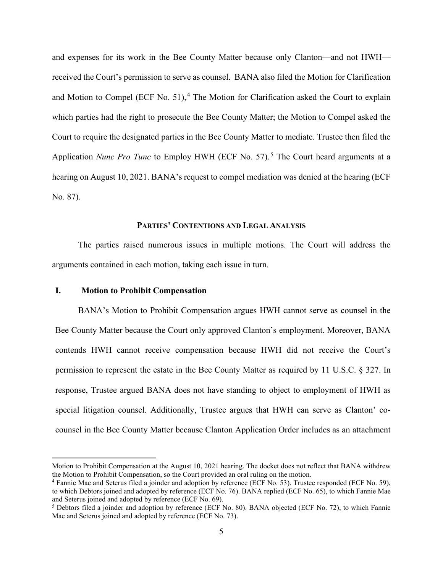and expenses for its work in the Bee County Matter because only Clanton—and not HWH received the Court's permission to serve as counsel. BANA also filed the Motion for Clarification and Motion to Compel (ECF No. 51), $<sup>4</sup>$  The Motion for Clarification asked the Court to explain</sup> which parties had the right to prosecute the Bee County Matter; the Motion to Compel asked the Court to require the designated parties in the Bee County Matter to mediate. Trustee then filed the Application *Nunc Pro Tunc* to Employ HWH (ECF No. 57).<sup>5</sup> The Court heard arguments at a hearing on August 10, 2021. BANA's request to compel mediation was denied at the hearing (ECF No. 87).

### **PARTIES' CONTENTIONS AND LEGAL ANALYSIS**

The parties raised numerous issues in multiple motions. The Court will address the arguments contained in each motion, taking each issue in turn.

## **I. Motion to Prohibit Compensation**

BANA's Motion to Prohibit Compensation argues HWH cannot serve as counsel in the Bee County Matter because the Court only approved Clanton's employment. Moreover, BANA contends HWH cannot receive compensation because HWH did not receive the Court's permission to represent the estate in the Bee County Matter as required by 11 U.S.C. § 327. In response, Trustee argued BANA does not have standing to object to employment of HWH as special litigation counsel. Additionally, Trustee argues that HWH can serve as Clanton' cocounsel in the Bee County Matter because Clanton Application Order includes as an attachment

Motion to Prohibit Compensation at the August 10, 2021 hearing. The docket does not reflect that BANA withdrew the Motion to Prohibit Compensation, so the Court provided an oral ruling on the motion.

<sup>&</sup>lt;sup>4</sup> Fannie Mae and Seterus filed a joinder and adoption by reference (ECF No. 53). Trustee responded (ECF No. 59), to which Debtors joined and adopted by reference (ECF No. 76). BANA replied (ECF No. 65), to which Fannie Mae and Seterus joined and adopted by reference (ECF No. 69).

<sup>5</sup> Debtors filed a joinder and adoption by reference (ECF No. 80). BANA objected (ECF No. 72), to which Fannie Mae and Seterus joined and adopted by reference (ECF No. 73).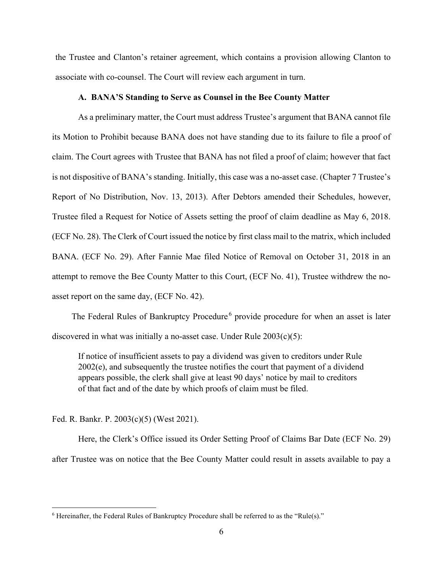the Trustee and Clanton's retainer agreement, which contains a provision allowing Clanton to associate with co-counsel. The Court will review each argument in turn.

#### **A. BANA'S Standing to Serve as Counsel in the Bee County Matter**

As a preliminary matter, the Court must address Trustee's argument that BANA cannot file its Motion to Prohibit because BANA does not have standing due to its failure to file a proof of claim. The Court agrees with Trustee that BANA has not filed a proof of claim; however that fact is not dispositive of BANA's standing. Initially, this case was a no-asset case. (Chapter 7 Trustee's Report of No Distribution, Nov. 13, 2013). After Debtors amended their Schedules, however, Trustee filed a Request for Notice of Assets setting the proof of claim deadline as May 6, 2018. (ECF No. 28). The Clerk of Court issued the notice by first class mail to the matrix, which included BANA. (ECF No. 29). After Fannie Mae filed Notice of Removal on October 31, 2018 in an attempt to remove the Bee County Matter to this Court, (ECF No. 41), Trustee withdrew the noasset report on the same day, (ECF No. 42).

The Federal Rules of Bankruptcy Procedure<sup>6</sup> provide procedure for when an asset is later discovered in what was initially a no-asset case. Under Rule  $2003(c)(5)$ :

If notice of insufficient assets to pay a dividend was given to creditors under Rule 2002(e), and subsequently the trustee notifies the court that payment of a dividend appears possible, the clerk shall give at least 90 days' notice by mail to creditors of that fact and of the date by which proofs of claim must be filed.

Fed. R. Bankr. P. 2003(c)(5) (West 2021).

Here, the Clerk's Office issued its Order Setting Proof of Claims Bar Date (ECF No. 29) after Trustee was on notice that the Bee County Matter could result in assets available to pay a

 $6$  Hereinafter, the Federal Rules of Bankruptcy Procedure shall be referred to as the "Rule(s)."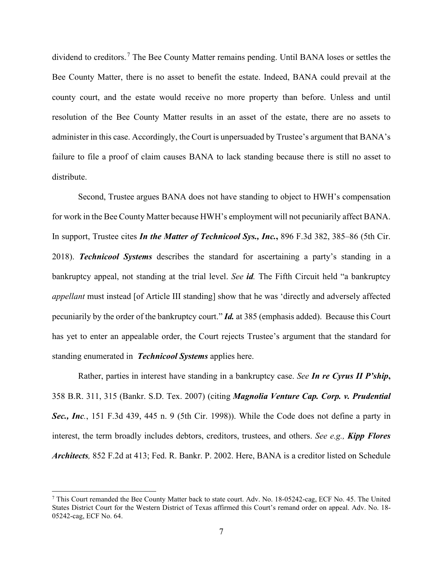dividend to creditors.<sup>7</sup> The Bee County Matter remains pending. Until BANA loses or settles the Bee County Matter, there is no asset to benefit the estate. Indeed, BANA could prevail at the county court, and the estate would receive no more property than before. Unless and until resolution of the Bee County Matter results in an asset of the estate, there are no assets to administer in this case. Accordingly, the Court is unpersuaded by Trustee's argument that BANA's failure to file a proof of claim causes BANA to lack standing because there is still no asset to distribute.

Second, Trustee argues BANA does not have standing to object to HWH's compensation for work in the Bee County Matter because HWH's employment will not pecuniarily affect BANA. In support, Trustee cites *In the Matter of Technicool Sys., Inc.***,** 896 F.3d 382, 385–86 (5th Cir. 2018). *Technicool Systems* describes the standard for ascertaining a party's standing in a bankruptcy appeal, not standing at the trial level. *See id.* The Fifth Circuit held "a bankruptcy *appellant* must instead [of Article III standing] show that he was 'directly and adversely affected pecuniarily by the order of the bankruptcy court." *Id.* at 385 (emphasis added). Because this Court has yet to enter an appealable order, the Court rejects Trustee's argument that the standard for standing enumerated in *Technicool Systems* applies here.

Rather, parties in interest have standing in a bankruptcy case. *See In re Cyrus II P'ship***,**  358 B.R. 311, 315 (Bankr. S.D. Tex. 2007) (citing *Magnolia Venture Cap. Corp. v. Prudential*  Sec., Inc., 151 F.3d 439, 445 n. 9 (5th Cir. 1998)). While the Code does not define a party in interest, the term broadly includes debtors, creditors, trustees, and others. *See e.g., Kipp Flores Architects,* 852 F.2d at 413; Fed. R. Bankr. P. 2002. Here, BANA is a creditor listed on Schedule

<sup>7</sup> This Court remanded the Bee County Matter back to state court. Adv. No. 18-05242-cag, ECF No. 45. The United States District Court for the Western District of Texas affirmed this Court's remand order on appeal. Adv. No. 18- 05242-cag, ECF No. 64.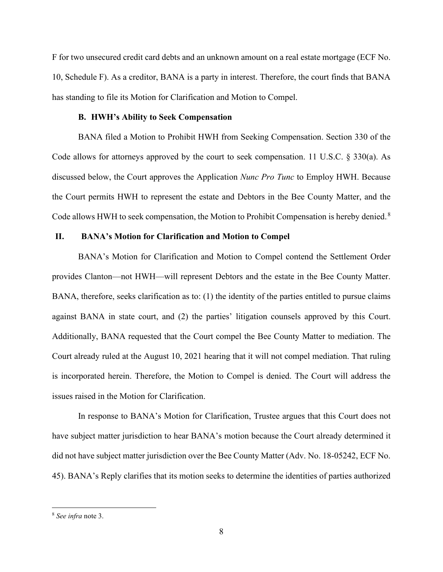F for two unsecured credit card debts and an unknown amount on a real estate mortgage (ECF No. 10, Schedule F). As a creditor, BANA is a party in interest. Therefore, the court finds that BANA has standing to file its Motion for Clarification and Motion to Compel.

## **B. HWH's Ability to Seek Compensation**

BANA filed a Motion to Prohibit HWH from Seeking Compensation. Section 330 of the Code allows for attorneys approved by the court to seek compensation. 11 U.S.C. § 330(a). As discussed below, the Court approves the Application *Nunc Pro Tunc* to Employ HWH. Because the Court permits HWH to represent the estate and Debtors in the Bee County Matter, and the Code allows HWH to seek compensation, the Motion to Prohibit Compensation is hereby denied.<sup>8</sup>

## **II. BANA's Motion for Clarification and Motion to Compel**

BANA's Motion for Clarification and Motion to Compel contend the Settlement Order provides Clanton—not HWH—will represent Debtors and the estate in the Bee County Matter. BANA, therefore, seeks clarification as to: (1) the identity of the parties entitled to pursue claims against BANA in state court, and (2) the parties' litigation counsels approved by this Court. Additionally, BANA requested that the Court compel the Bee County Matter to mediation. The Court already ruled at the August 10, 2021 hearing that it will not compel mediation. That ruling is incorporated herein. Therefore, the Motion to Compel is denied. The Court will address the issues raised in the Motion for Clarification.

In response to BANA's Motion for Clarification, Trustee argues that this Court does not have subject matter jurisdiction to hear BANA's motion because the Court already determined it did not have subject matter jurisdiction over the Bee County Matter (Adv. No. 18-05242, ECF No. 45). BANA's Reply clarifies that its motion seeks to determine the identities of parties authorized

<sup>8</sup> *See infra* note 3.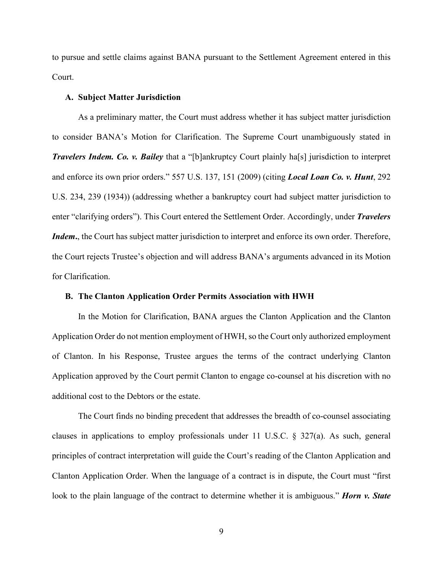to pursue and settle claims against BANA pursuant to the Settlement Agreement entered in this Court.

## **A. Subject Matter Jurisdiction**

As a preliminary matter, the Court must address whether it has subject matter jurisdiction to consider BANA's Motion for Clarification. The Supreme Court unambiguously stated in *Travelers Indem. Co. v. Bailey* that a "[b]ankruptcy Court plainly ha[s] jurisdiction to interpret and enforce its own prior orders." 557 U.S. 137, 151 (2009) (citing *Local Loan Co. v. Hunt*, 292 U.S. 234, 239 (1934)) (addressing whether a bankruptcy court had subject matter jurisdiction to enter "clarifying orders"). This Court entered the Settlement Order. Accordingly, under *Travelers Indem*, the Court has subject matter jurisdiction to interpret and enforce its own order. Therefore, the Court rejects Trustee's objection and will address BANA's arguments advanced in its Motion for Clarification.

## **B. The Clanton Application Order Permits Association with HWH**

In the Motion for Clarification, BANA argues the Clanton Application and the Clanton Application Order do not mention employment of HWH, so the Court only authorized employment of Clanton. In his Response, Trustee argues the terms of the contract underlying Clanton Application approved by the Court permit Clanton to engage co-counsel at his discretion with no additional cost to the Debtors or the estate.

The Court finds no binding precedent that addresses the breadth of co-counsel associating clauses in applications to employ professionals under 11 U.S.C. § 327(a). As such, general principles of contract interpretation will guide the Court's reading of the Clanton Application and Clanton Application Order. When the language of a contract is in dispute, the Court must "first look to the plain language of the contract to determine whether it is ambiguous." *Horn v. State*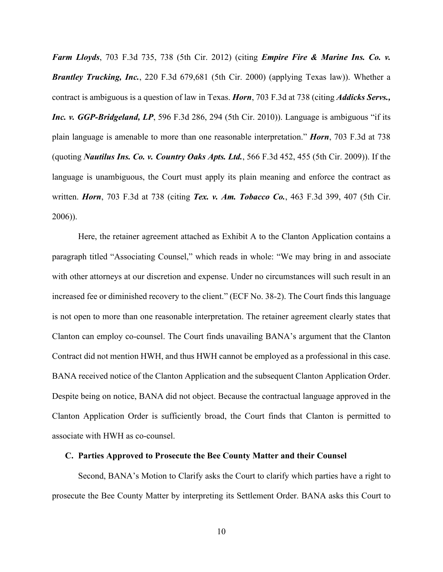*Farm Lloyds*, 703 F.3d 735, 738 (5th Cir. 2012) (citing *Empire Fire & Marine Ins. Co. v. Brantley Trucking, Inc.*, 220 F.3d 679,681 (5th Cir. 2000) (applying Texas law)). Whether a contract is ambiguous is a question of law in Texas. *Horn*, 703 F.3d at 738 (citing *Addicks Servs., Inc. v. GGP-Bridgeland, LP*, 596 F.3d 286, 294 (5th Cir. 2010)). Language is ambiguous "if its plain language is amenable to more than one reasonable interpretation." *Horn*, 703 F.3d at 738 (quoting *Nautilus Ins. Co. v. Country Oaks Apts. Ltd.*, 566 F.3d 452, 455 (5th Cir. 2009)). If the language is unambiguous, the Court must apply its plain meaning and enforce the contract as written. *Horn*, 703 F.3d at 738 (citing *Tex. v. Am. Tobacco Co.*, 463 F.3d 399, 407 (5th Cir. 2006)).

Here, the retainer agreement attached as Exhibit A to the Clanton Application contains a paragraph titled "Associating Counsel," which reads in whole: "We may bring in and associate with other attorneys at our discretion and expense. Under no circumstances will such result in an increased fee or diminished recovery to the client." (ECF No. 38-2). The Court finds this language is not open to more than one reasonable interpretation. The retainer agreement clearly states that Clanton can employ co-counsel. The Court finds unavailing BANA's argument that the Clanton Contract did not mention HWH, and thus HWH cannot be employed as a professional in this case. BANA received notice of the Clanton Application and the subsequent Clanton Application Order. Despite being on notice, BANA did not object. Because the contractual language approved in the Clanton Application Order is sufficiently broad, the Court finds that Clanton is permitted to associate with HWH as co-counsel.

#### **C. Parties Approved to Prosecute the Bee County Matter and their Counsel**

Second, BANA's Motion to Clarify asks the Court to clarify which parties have a right to prosecute the Bee County Matter by interpreting its Settlement Order. BANA asks this Court to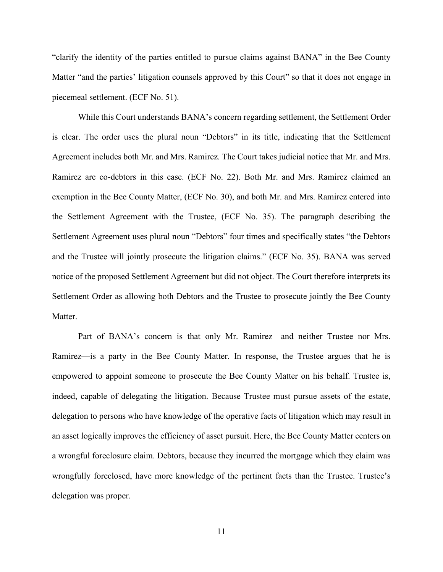"clarify the identity of the parties entitled to pursue claims against BANA" in the Bee County Matter "and the parties' litigation counsels approved by this Court" so that it does not engage in piecemeal settlement. (ECF No. 51).

While this Court understands BANA's concern regarding settlement, the Settlement Order is clear. The order uses the plural noun "Debtors" in its title, indicating that the Settlement Agreement includes both Mr. and Mrs. Ramirez. The Court takes judicial notice that Mr. and Mrs. Ramirez are co-debtors in this case. (ECF No. 22). Both Mr. and Mrs. Ramirez claimed an exemption in the Bee County Matter, (ECF No. 30), and both Mr. and Mrs. Ramirez entered into the Settlement Agreement with the Trustee, (ECF No. 35). The paragraph describing the Settlement Agreement uses plural noun "Debtors" four times and specifically states "the Debtors and the Trustee will jointly prosecute the litigation claims." (ECF No. 35). BANA was served notice of the proposed Settlement Agreement but did not object. The Court therefore interprets its Settlement Order as allowing both Debtors and the Trustee to prosecute jointly the Bee County Matter.

Part of BANA's concern is that only Mr. Ramirez—and neither Trustee nor Mrs. Ramirez—is a party in the Bee County Matter. In response, the Trustee argues that he is empowered to appoint someone to prosecute the Bee County Matter on his behalf. Trustee is, indeed, capable of delegating the litigation. Because Trustee must pursue assets of the estate, delegation to persons who have knowledge of the operative facts of litigation which may result in an asset logically improves the efficiency of asset pursuit. Here, the Bee County Matter centers on a wrongful foreclosure claim. Debtors, because they incurred the mortgage which they claim was wrongfully foreclosed, have more knowledge of the pertinent facts than the Trustee. Trustee's delegation was proper.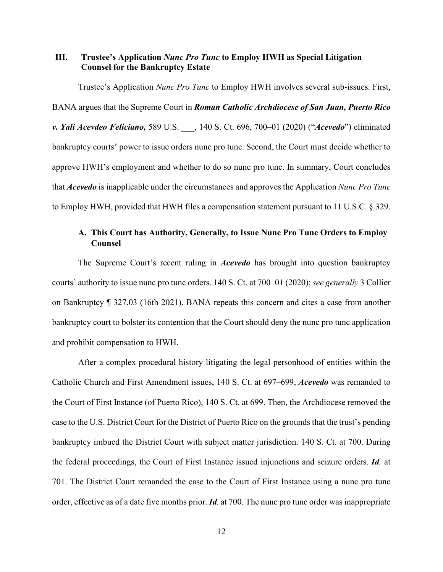## **III. Trustee's Application** *Nunc Pro Tunc* **to Employ HWH as Special Litigation Counsel for the Bankruptcy Estate**

Trustee's Application *Nunc Pro Tunc* to Employ HWH involves several sub-issues. First, BANA argues that the Supreme Court in *Roman Catholic Archdiocese of San Juan, Puerto Rico v. Yali Acevdeo Feliciano,* 589 U.S. \_\_\_, 140 S. Ct. 696, 700–01 (2020) ("*Acevedo*") eliminated bankruptcy courts' power to issue orders nunc pro tunc. Second, the Court must decide whether to approve HWH's employment and whether to do so nunc pro tunc. In summary, Court concludes that *Acevedo* is inapplicable under the circumstances and approves the Application *Nunc Pro Tunc*  to Employ HWH, provided that HWH files a compensation statement pursuant to 11 U.S.C. § 329.

# **A. This Court has Authority, Generally, to Issue Nunc Pro Tunc Orders to Employ Counsel**

The Supreme Court's recent ruling in *Acevedo* has brought into question bankruptcy courts' authority to issue nunc pro tunc orders. 140 S. Ct. at 700–01 (2020); *see generally* 3 Collier on Bankruptcy ¶ 327.03 (16th 2021). BANA repeats this concern and cites a case from another bankruptcy court to bolster its contention that the Court should deny the nunc pro tunc application and prohibit compensation to HWH.

After a complex procedural history litigating the legal personhood of entities within the Catholic Church and First Amendment issues, 140 S. Ct. at 697–699, *Acevedo* was remanded to the Court of First Instance (of Puerto Rico), 140 S. Ct. at 699. Then, the Archdiocese removed the case to the U.S. District Court for the District of Puerto Rico on the grounds that the trust's pending bankruptcy imbued the District Court with subject matter jurisdiction. 140 S. Ct. at 700. During the federal proceedings, the Court of First Instance issued injunctions and seizure orders. *Id.* at 701. The District Court remanded the case to the Court of First Instance using a nunc pro tunc order, effective as of a date five months prior. *Id.* at 700. The nunc pro tunc order was inappropriate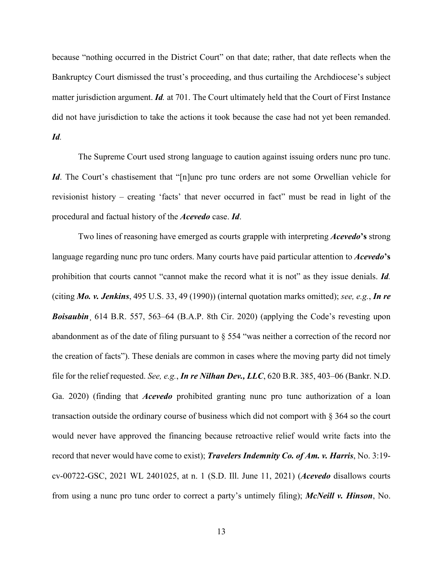because "nothing occurred in the District Court" on that date; rather, that date reflects when the Bankruptcy Court dismissed the trust's proceeding, and thus curtailing the Archdiocese's subject matter jurisdiction argument. *Id.* at 701. The Court ultimately held that the Court of First Instance did not have jurisdiction to take the actions it took because the case had not yet been remanded. *Id.*

The Supreme Court used strong language to caution against issuing orders nunc pro tunc. *Id*. The Court's chastisement that "[n]unc pro tunc orders are not some Orwellian vehicle for revisionist history – creating 'facts' that never occurred in fact" must be read in light of the procedural and factual history of the *Acevedo* case. *Id*.

Two lines of reasoning have emerged as courts grapple with interpreting *Acevedo***'s** strong language regarding nunc pro tunc orders. Many courts have paid particular attention to *Acevedo***'s** prohibition that courts cannot "cannot make the record what it is not" as they issue denials. *Id.* (citing *Mo. v. Jenkins*, 495 U.S. 33, 49 (1990)) (internal quotation marks omitted); *see, e.g.*, *In re Boisaubin*¸ 614 B.R. 557, 563–64 (B.A.P. 8th Cir. 2020) (applying the Code's revesting upon abandonment as of the date of filing pursuant to § 554 "was neither a correction of the record nor the creation of facts"). These denials are common in cases where the moving party did not timely file for the relief requested. *See, e.g.*, *In re Nilhan Dev., LLC*, 620 B.R. 385, 403–06 (Bankr. N.D. Ga. 2020) (finding that *Acevedo* prohibited granting nunc pro tunc authorization of a loan transaction outside the ordinary course of business which did not comport with § 364 so the court would never have approved the financing because retroactive relief would write facts into the record that never would have come to exist); *Travelers Indemnity Co. of Am. v. Harris*, No. 3:19 cv-00722-GSC, 2021 WL 2401025, at n. 1 (S.D. Ill. June 11, 2021) (*Acevedo* disallows courts from using a nunc pro tunc order to correct a party's untimely filing); *McNeill v. Hinson*, No.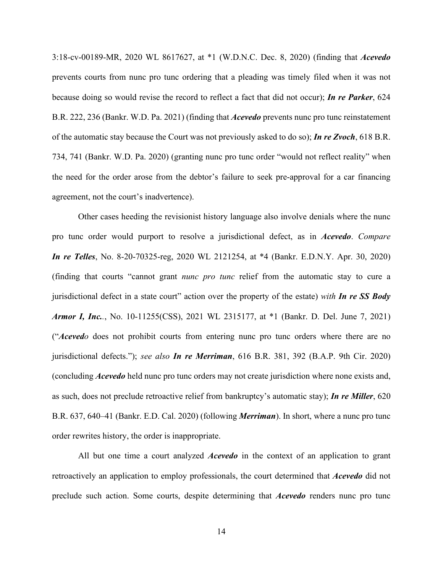3:18-cv-00189-MR, 2020 WL 8617627, at \*1 (W.D.N.C. Dec. 8, 2020) (finding that *Acevedo* prevents courts from nunc pro tunc ordering that a pleading was timely filed when it was not because doing so would revise the record to reflect a fact that did not occur); *In re Parker*, 624 B.R. 222, 236 (Bankr. W.D. Pa. 2021) (finding that *Acevedo* prevents nunc pro tunc reinstatement of the automatic stay because the Court was not previously asked to do so); *In re Zvoch*, 618 B.R. 734, 741 (Bankr. W.D. Pa. 2020) (granting nunc pro tunc order "would not reflect reality" when the need for the order arose from the debtor's failure to seek pre-approval for a car financing agreement, not the court's inadvertence).

Other cases heeding the revisionist history language also involve denials where the nunc pro tunc order would purport to resolve a jurisdictional defect, as in *Acevedo*. *Compare In re Telles*, No. 8-20-70325-reg, 2020 WL 2121254, at \*4 (Bankr. E.D.N.Y. Apr. 30, 2020) (finding that courts "cannot grant *nunc pro tunc* relief from the automatic stay to cure a jurisdictional defect in a state court" action over the property of the estate) *with In re SS Body Armor I, Inc..*, No. 10-11255(CSS), 2021 WL 2315177, at \*1 (Bankr. D. Del. June 7, 2021) ("*Acevedo* does not prohibit courts from entering nunc pro tunc orders where there are no jurisdictional defects."); *see also In re Merriman*, 616 B.R. 381, 392 (B.A.P. 9th Cir. 2020) (concluding *Acevedo* held nunc pro tunc orders may not create jurisdiction where none exists and, as such, does not preclude retroactive relief from bankruptcy's automatic stay); *In re Miller*, 620 B.R. 637, 640–41 (Bankr. E.D. Cal. 2020) (following *Merriman*). In short, where a nunc pro tunc order rewrites history, the order is inappropriate.

All but one time a court analyzed *Acevedo* in the context of an application to grant retroactively an application to employ professionals, the court determined that *Acevedo* did not preclude such action. Some courts, despite determining that *Acevedo* renders nunc pro tunc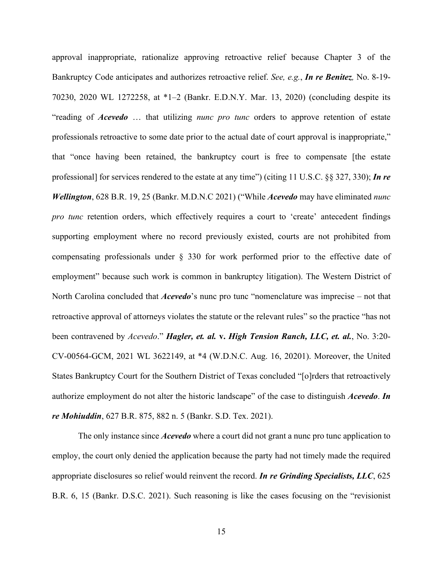approval inappropriate, rationalize approving retroactive relief because Chapter 3 of the Bankruptcy Code anticipates and authorizes retroactive relief. *See, e.g.*, *In re Benitez,* No. 8-19- 70230, 2020 WL 1272258, at \*1–2 (Bankr. E.D.N.Y. Mar. 13, 2020) (concluding despite its "reading of *Acevedo* … that utilizing *nunc pro tunc* orders to approve retention of estate professionals retroactive to some date prior to the actual date of court approval is inappropriate," that "once having been retained, the bankruptcy court is free to compensate [the estate professional] for services rendered to the estate at any time") (citing 11 U.S.C. §§ 327, 330); *In re Wellington*, 628 B.R. 19, 25 (Bankr. M.D.N.C 2021) ("While *Acevedo* may have eliminated *nunc pro tunc* retention orders, which effectively requires a court to 'create' antecedent findings supporting employment where no record previously existed, courts are not prohibited from compensating professionals under § 330 for work performed prior to the effective date of employment" because such work is common in bankruptcy litigation). The Western District of North Carolina concluded that *Acevedo*'s nunc pro tunc "nomenclature was imprecise – not that retroactive approval of attorneys violates the statute or the relevant rules" so the practice "has not been contravened by *Acevedo*." *Hagler, et. al.* **v.** *High Tension Ranch, LLC, et. al.*, No. 3:20- CV-00564-GCM, 2021 WL 3622149, at \*4 (W.D.N.C. Aug. 16, 20201). Moreover, the United States Bankruptcy Court for the Southern District of Texas concluded "[o]rders that retroactively authorize employment do not alter the historic landscape" of the case to distinguish *Acevedo*. *In re Mohiuddin*, 627 B.R. 875, 882 n. 5 (Bankr. S.D. Tex. 2021).

The only instance since *Acevedo* where a court did not grant a nunc pro tunc application to employ, the court only denied the application because the party had not timely made the required appropriate disclosures so relief would reinvent the record. *In re Grinding Specialists, LLC*, 625 B.R. 6, 15 (Bankr. D.S.C. 2021). Such reasoning is like the cases focusing on the "revisionist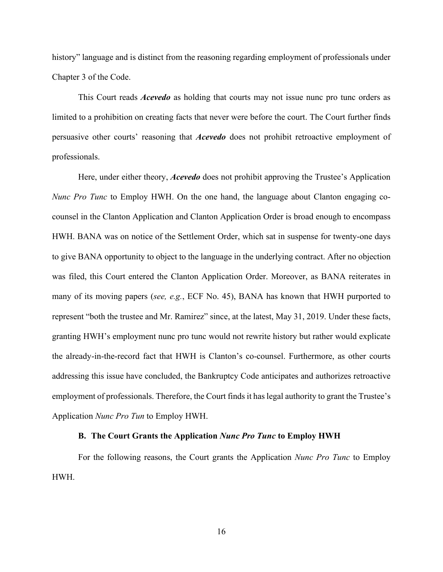history" language and is distinct from the reasoning regarding employment of professionals under Chapter 3 of the Code.

This Court reads *Acevedo* as holding that courts may not issue nunc pro tunc orders as limited to a prohibition on creating facts that never were before the court. The Court further finds persuasive other courts' reasoning that *Acevedo* does not prohibit retroactive employment of professionals.

Here, under either theory, *Acevedo* does not prohibit approving the Trustee's Application *Nunc Pro Tunc* to Employ HWH. On the one hand, the language about Clanton engaging cocounsel in the Clanton Application and Clanton Application Order is broad enough to encompass HWH. BANA was on notice of the Settlement Order, which sat in suspense for twenty-one days to give BANA opportunity to object to the language in the underlying contract. After no objection was filed, this Court entered the Clanton Application Order. Moreover, as BANA reiterates in many of its moving papers (*see, e.g.*, ECF No. 45), BANA has known that HWH purported to represent "both the trustee and Mr. Ramirez" since, at the latest, May 31, 2019. Under these facts, granting HWH's employment nunc pro tunc would not rewrite history but rather would explicate the already-in-the-record fact that HWH is Clanton's co-counsel. Furthermore, as other courts addressing this issue have concluded, the Bankruptcy Code anticipates and authorizes retroactive employment of professionals. Therefore, the Court finds it has legal authority to grant the Trustee's Application *Nunc Pro Tun* to Employ HWH.

#### **B. The Court Grants the Application** *Nunc Pro Tunc* **to Employ HWH**

For the following reasons, the Court grants the Application *Nunc Pro Tunc* to Employ HWH.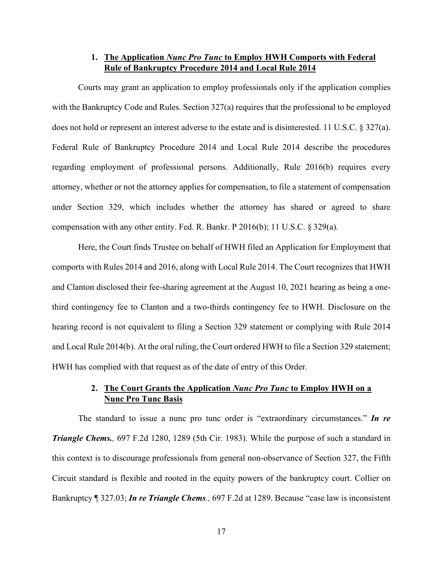# **1. The Application** *Nunc Pro Tunc* **to Employ HWH Comports with Federal Rule of Bankruptcy Procedure 2014 and Local Rule 2014**

Courts may grant an application to employ professionals only if the application complies with the Bankruptcy Code and Rules. Section 327(a) requires that the professional to be employed does not hold or represent an interest adverse to the estate and is disinterested. 11 U.S.C. § 327(a). Federal Rule of Bankruptcy Procedure 2014 and Local Rule 2014 describe the procedures regarding employment of professional persons. Additionally, Rule 2016(b) requires every attorney, whether or not the attorney applies for compensation, to file a statement of compensation under Section 329, which includes whether the attorney has shared or agreed to share compensation with any other entity. Fed. R. Bankr. P 2016(b); 11 U.S.C. § 329(a).

Here, the Court finds Trustee on behalf of HWH filed an Application for Employment that comports with Rules 2014 and 2016, along with Local Rule 2014. The Court recognizes that HWH and Clanton disclosed their fee-sharing agreement at the August 10, 2021 hearing as being a onethird contingency fee to Clanton and a two-thirds contingency fee to HWH. Disclosure on the hearing record is not equivalent to filing a Section 329 statement or complying with Rule 2014 and Local Rule 2014(b). At the oral ruling, the Court ordered HWH to file a Section 329 statement; HWH has complied with that request as of the date of entry of this Order.

# **2. The Court Grants the Application** *Nunc Pro Tunc* **to Employ HWH on a Nunc Pro Tunc Basis**

The standard to issue a nunc pro tunc order is "extraordinary circumstances." *In re Triangle Chems.,* 697 F.2d 1280, 1289 (5th Cir. 1983). While the purpose of such a standard in this context is to discourage professionals from general non-observance of Section 327, the Fifth Circuit standard is flexible and rooted in the equity powers of the bankruptcy court. Collier on Bankruptcy ¶ 327.03; *In re Triangle Chems.,* 697 F.2d at 1289. Because "case law is inconsistent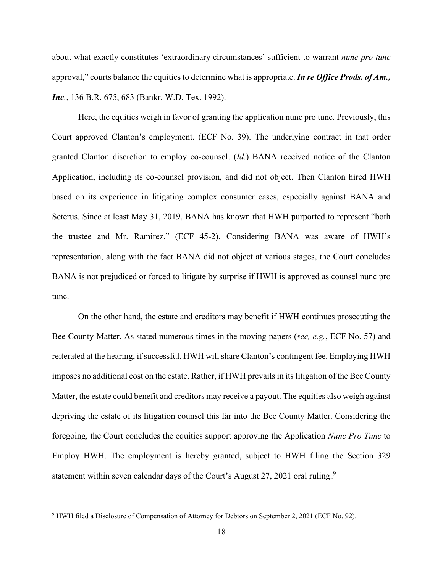about what exactly constitutes 'extraordinary circumstances' sufficient to warrant *nunc pro tunc* approval," courts balance the equities to determine what is appropriate. *In re Office Prods. of Am., Inc.*, 136 B.R. 675, 683 (Bankr. W.D. Tex. 1992).

Here, the equities weigh in favor of granting the application nunc pro tunc. Previously, this Court approved Clanton's employment. (ECF No. 39). The underlying contract in that order granted Clanton discretion to employ co-counsel. (*Id*.) BANA received notice of the Clanton Application, including its co-counsel provision, and did not object. Then Clanton hired HWH based on its experience in litigating complex consumer cases, especially against BANA and Seterus. Since at least May 31, 2019, BANA has known that HWH purported to represent "both the trustee and Mr. Ramirez." (ECF 45-2). Considering BANA was aware of HWH's representation, along with the fact BANA did not object at various stages, the Court concludes BANA is not prejudiced or forced to litigate by surprise if HWH is approved as counsel nunc pro tunc.

On the other hand, the estate and creditors may benefit if HWH continues prosecuting the Bee County Matter. As stated numerous times in the moving papers (*see, e.g.*, ECF No. 57) and reiterated at the hearing, if successful, HWH will share Clanton's contingent fee. Employing HWH imposes no additional cost on the estate. Rather, if HWH prevails in its litigation of the Bee County Matter, the estate could benefit and creditors may receive a payout. The equities also weigh against depriving the estate of its litigation counsel this far into the Bee County Matter. Considering the foregoing, the Court concludes the equities support approving the Application *Nunc Pro Tunc* to Employ HWH. The employment is hereby granted, subject to HWH filing the Section 329 statement within seven calendar days of the Court's August 27, 2021 oral ruling.<sup>9</sup>

<sup>9</sup> HWH filed a Disclosure of Compensation of Attorney for Debtors on September 2, 2021 (ECF No. 92).